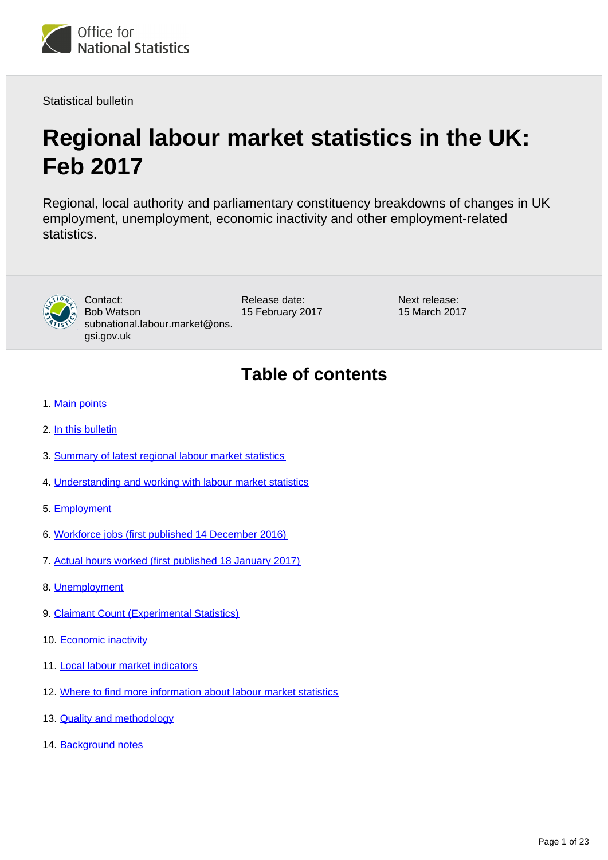

Statistical bulletin

# **Regional labour market statistics in the UK: Feb 2017**

Regional, local authority and parliamentary constituency breakdowns of changes in UK employment, unemployment, economic inactivity and other employment-related statistics.



Contact: Bob Watson subnational.labour.market@ons. gsi.gov.uk

Release date: 15 February 2017 Next release: 15 March 2017

## **Table of contents**

- 1. [Main points](#page-1-0)
- 2. [In this bulletin](#page-1-1)
- 3. [Summary of latest regional labour market statistics](#page-2-0)
- 4. [Understanding and working with labour market statistics](#page-3-0)
- 5. [Employment](#page-6-0)
- 6. [Workforce jobs \(first published 14 December 2016\)](#page-7-0)
- 7. [Actual hours worked \(first published 18 January 2017\)](#page-10-0)
- 8. [Unemployment](#page-12-0)
- 9. [Claimant Count \(Experimental Statistics\)](#page-13-0)
- 10. [Economic inactivity](#page-16-0)
- 11. [Local labour market indicators](#page-18-0)
- 12. [Where to find more information about labour market statistics](#page-19-0)
- 13. [Quality and methodology](#page-20-0)
- 14. Background notes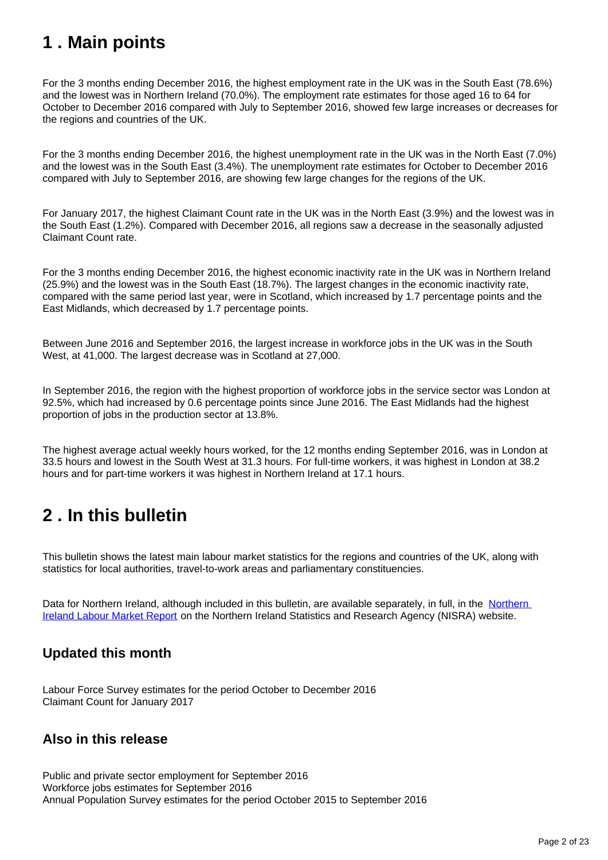## <span id="page-1-0"></span>**1 . Main points**

For the 3 months ending December 2016, the highest employment rate in the UK was in the South East (78.6%) and the lowest was in Northern Ireland (70.0%). The employment rate estimates for those aged 16 to 64 for October to December 2016 compared with July to September 2016, showed few large increases or decreases for the regions and countries of the UK.

For the 3 months ending December 2016, the highest unemployment rate in the UK was in the North East (7.0%) and the lowest was in the South East (3.4%). The unemployment rate estimates for October to December 2016 compared with July to September 2016, are showing few large changes for the regions of the UK.

For January 2017, the highest Claimant Count rate in the UK was in the North East (3.9%) and the lowest was in the South East (1.2%). Compared with December 2016, all regions saw a decrease in the seasonally adjusted Claimant Count rate.

For the 3 months ending December 2016, the highest economic inactivity rate in the UK was in Northern Ireland (25.9%) and the lowest was in the South East (18.7%). The largest changes in the economic inactivity rate, compared with the same period last year, were in Scotland, which increased by 1.7 percentage points and the East Midlands, which decreased by 1.7 percentage points.

Between June 2016 and September 2016, the largest increase in workforce jobs in the UK was in the South West, at 41,000. The largest decrease was in Scotland at 27,000.

In September 2016, the region with the highest proportion of workforce jobs in the service sector was London at 92.5%, which had increased by 0.6 percentage points since June 2016. The East Midlands had the highest proportion of jobs in the production sector at 13.8%.

The highest average actual weekly hours worked, for the 12 months ending September 2016, was in London at 33.5 hours and lowest in the South West at 31.3 hours. For full-time workers, it was highest in London at 38.2 hours and for part-time workers it was highest in Northern Ireland at 17.1 hours.

## <span id="page-1-1"></span>**2 . In this bulletin**

This bulletin shows the latest main labour market statistics for the regions and countries of the UK, along with statistics for local authorities, travel-to-work areas and parliamentary constituencies.

Data for [Northern](https://www.economy-ni.gov.uk/articles/labour-force-survey#toc-1) Ireland, although included in this bulletin, are available separately, in full, in the Northern [Ireland Labour Market Report](https://www.economy-ni.gov.uk/articles/labour-force-survey#toc-1) on the Northern Ireland Statistics and Research Agency (NISRA) website.

## **Updated this month**

Labour Force Survey estimates for the period October to December 2016 Claimant Count for January 2017

## **Also in this release**

Public and private sector employment for September 2016 Workforce jobs estimates for September 2016 Annual Population Survey estimates for the period October 2015 to September 2016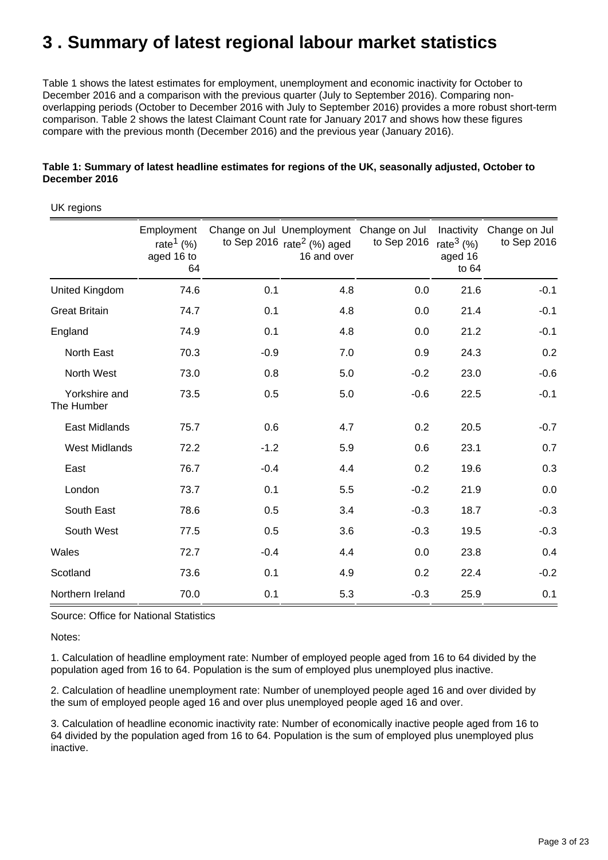## <span id="page-2-0"></span>**3 . Summary of latest regional labour market statistics**

Table 1 shows the latest estimates for employment, unemployment and economic inactivity for October to December 2016 and a comparison with the previous quarter (July to September 2016). Comparing nonoverlapping periods (October to December 2016 with July to September 2016) provides a more robust short-term comparison. Table 2 shows the latest Claimant Count rate for January 2017 and shows how these figures compare with the previous month (December 2016) and the previous year (January 2016).

| UK regions                  |                                                            |        |                                                                           |                              |                                                 |                              |
|-----------------------------|------------------------------------------------------------|--------|---------------------------------------------------------------------------|------------------------------|-------------------------------------------------|------------------------------|
|                             | Employment<br>rate <sup>1</sup> $(\%)$<br>aged 16 to<br>64 |        | Change on Jul Unemployment<br>to Sep 2016 $rate2$ (%) aged<br>16 and over | Change on Jul<br>to Sep 2016 | Inactivity<br>rate $3(%)$<br>aged 16<br>to $64$ | Change on Jul<br>to Sep 2016 |
| United Kingdom              | 74.6                                                       | 0.1    | 4.8                                                                       | 0.0                          | 21.6                                            | $-0.1$                       |
| <b>Great Britain</b>        | 74.7                                                       | 0.1    | 4.8                                                                       | 0.0                          | 21.4                                            | $-0.1$                       |
| England                     | 74.9                                                       | 0.1    | 4.8                                                                       | 0.0                          | 21.2                                            | $-0.1$                       |
| North East                  | 70.3                                                       | $-0.9$ | 7.0                                                                       | 0.9                          | 24.3                                            | 0.2                          |
| North West                  | 73.0                                                       | 0.8    | 5.0                                                                       | $-0.2$                       | 23.0                                            | $-0.6$                       |
| Yorkshire and<br>The Humber | 73.5                                                       | 0.5    | 5.0                                                                       | $-0.6$                       | 22.5                                            | $-0.1$                       |
| <b>East Midlands</b>        | 75.7                                                       | 0.6    | 4.7                                                                       | 0.2                          | 20.5                                            | $-0.7$                       |
| <b>West Midlands</b>        | 72.2                                                       | $-1.2$ | 5.9                                                                       | 0.6                          | 23.1                                            | 0.7                          |
| East                        | 76.7                                                       | $-0.4$ | 4.4                                                                       | 0.2                          | 19.6                                            | 0.3                          |
| London                      | 73.7                                                       | 0.1    | 5.5                                                                       | $-0.2$                       | 21.9                                            | 0.0                          |
| South East                  | 78.6                                                       | 0.5    | 3.4                                                                       | $-0.3$                       | 18.7                                            | $-0.3$                       |
| South West                  | 77.5                                                       | 0.5    | 3.6                                                                       | $-0.3$                       | 19.5                                            | $-0.3$                       |
| Wales                       | 72.7                                                       | $-0.4$ | 4.4                                                                       | 0.0                          | 23.8                                            | 0.4                          |
| Scotland                    | 73.6                                                       | 0.1    | 4.9                                                                       | 0.2                          | 22.4                                            | $-0.2$                       |
| Northern Ireland            | 70.0                                                       | 0.1    | 5.3                                                                       | $-0.3$                       | 25.9                                            | 0.1                          |

#### **Table 1: Summary of latest headline estimates for regions of the UK, seasonally adjusted, October to December 2016**

Source: Office for National Statistics

Notes:

1. Calculation of headline employment rate: Number of employed people aged from 16 to 64 divided by the population aged from 16 to 64. Population is the sum of employed plus unemployed plus inactive.

2. Calculation of headline unemployment rate: Number of unemployed people aged 16 and over divided by the sum of employed people aged 16 and over plus unemployed people aged 16 and over.

3. Calculation of headline economic inactivity rate: Number of economically inactive people aged from 16 to 64 divided by the population aged from 16 to 64. Population is the sum of employed plus unemployed plus inactive.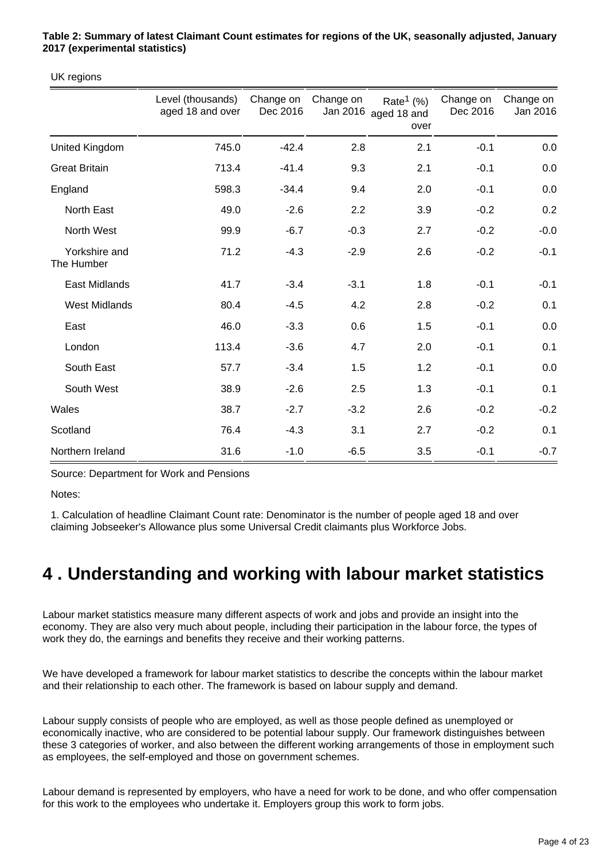**Table 2: Summary of latest Claimant Count estimates for regions of the UK, seasonally adjusted, January 2017 (experimental statistics)**

UK regions

|                             | Level (thousands)<br>aged 18 and over | Change on<br>Dec 2016 | Change on<br>Jan 2016 | Rate <sup>1</sup> $(\%)$<br>aged 18 and<br>over | Change on<br>Dec 2016 | Change on<br>Jan 2016 |
|-----------------------------|---------------------------------------|-----------------------|-----------------------|-------------------------------------------------|-----------------------|-----------------------|
| United Kingdom              | 745.0                                 | $-42.4$               | 2.8                   | 2.1                                             | $-0.1$                | 0.0                   |
| <b>Great Britain</b>        | 713.4                                 | $-41.4$               | 9.3                   | 2.1                                             | $-0.1$                | 0.0                   |
| England                     | 598.3                                 | $-34.4$               | 9.4                   | 2.0                                             | $-0.1$                | 0.0                   |
| North East                  | 49.0                                  | $-2.6$                | 2.2                   | 3.9                                             | $-0.2$                | 0.2                   |
| North West                  | 99.9                                  | $-6.7$                | $-0.3$                | 2.7                                             | $-0.2$                | $-0.0$                |
| Yorkshire and<br>The Humber | 71.2                                  | $-4.3$                | $-2.9$                | 2.6                                             | $-0.2$                | $-0.1$                |
| <b>East Midlands</b>        | 41.7                                  | $-3.4$                | $-3.1$                | 1.8                                             | $-0.1$                | $-0.1$                |
| <b>West Midlands</b>        | 80.4                                  | $-4.5$                | 4.2                   | 2.8                                             | $-0.2$                | 0.1                   |
| East                        | 46.0                                  | $-3.3$                | 0.6                   | 1.5                                             | $-0.1$                | 0.0                   |
| London                      | 113.4                                 | $-3.6$                | 4.7                   | 2.0                                             | $-0.1$                | 0.1                   |
| South East                  | 57.7                                  | $-3.4$                | 1.5                   | 1.2                                             | $-0.1$                | 0.0                   |
| South West                  | 38.9                                  | $-2.6$                | 2.5                   | 1.3                                             | $-0.1$                | 0.1                   |
| Wales                       | 38.7                                  | $-2.7$                | $-3.2$                | 2.6                                             | $-0.2$                | $-0.2$                |
| Scotland                    | 76.4                                  | $-4.3$                | 3.1                   | 2.7                                             | $-0.2$                | 0.1                   |
| Northern Ireland            | 31.6                                  | $-1.0$                | $-6.5$                | 3.5                                             | $-0.1$                | $-0.7$                |

Source: Department for Work and Pensions

Notes:

1. Calculation of headline Claimant Count rate: Denominator is the number of people aged 18 and over claiming Jobseeker's Allowance plus some Universal Credit claimants plus Workforce Jobs.

## <span id="page-3-0"></span>**4 . Understanding and working with labour market statistics**

Labour market statistics measure many different aspects of work and jobs and provide an insight into the economy. They are also very much about people, including their participation in the labour force, the types of work they do, the earnings and benefits they receive and their working patterns.

We have developed a framework for labour market statistics to describe the concepts within the labour market and their relationship to each other. The framework is based on labour supply and demand.

Labour supply consists of people who are employed, as well as those people defined as unemployed or economically inactive, who are considered to be potential labour supply. Our framework distinguishes between these 3 categories of worker, and also between the different working arrangements of those in employment such as employees, the self-employed and those on government schemes.

Labour demand is represented by employers, who have a need for work to be done, and who offer compensation for this work to the employees who undertake it. Employers group this work to form jobs.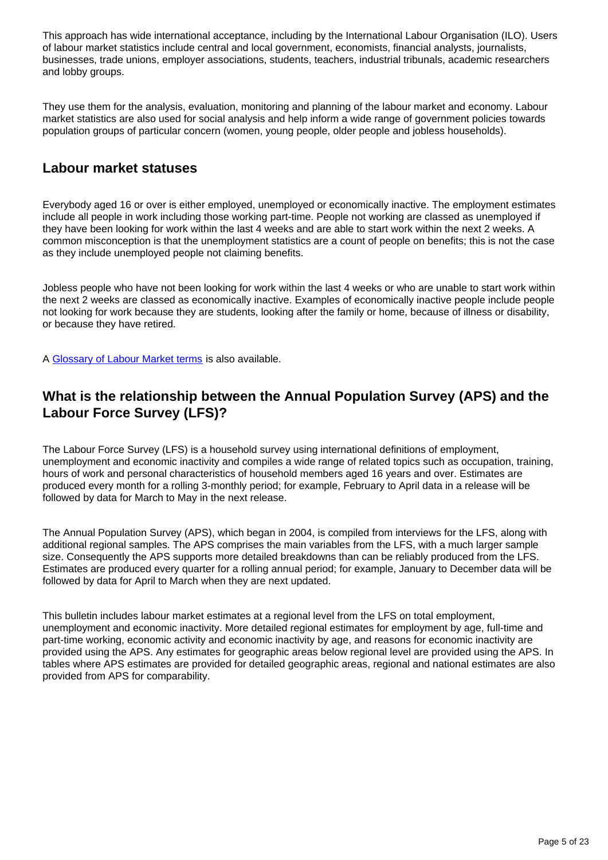This approach has wide international acceptance, including by the International Labour Organisation (ILO). Users of labour market statistics include central and local government, economists, financial analysts, journalists, businesses, trade unions, employer associations, students, teachers, industrial tribunals, academic researchers and lobby groups.

They use them for the analysis, evaluation, monitoring and planning of the labour market and economy. Labour market statistics are also used for social analysis and help inform a wide range of government policies towards population groups of particular concern (women, young people, older people and jobless households).

#### **Labour market statuses**

Everybody aged 16 or over is either employed, unemployed or economically inactive. The employment estimates include all people in work including those working part-time. People not working are classed as unemployed if they have been looking for work within the last 4 weeks and are able to start work within the next 2 weeks. A common misconception is that the unemployment statistics are a count of people on benefits; this is not the case as they include unemployed people not claiming benefits.

Jobless people who have not been looking for work within the last 4 weeks or who are unable to start work within the next 2 weeks are classed as economically inactive. Examples of economically inactive people include people not looking for work because they are students, looking after the family or home, because of illness or disability, or because they have retired.

A [Glossary of Labour Market terms](https://www.ons.gov.uk/employmentandlabourmarket/peopleinwork/employmentandemployeetypes/methodologies/aguidetolabourmarketstatistics#glossary) is also available.

### **What is the relationship between the Annual Population Survey (APS) and the Labour Force Survey (LFS)?**

The Labour Force Survey (LFS) is a household survey using international definitions of employment, unemployment and economic inactivity and compiles a wide range of related topics such as occupation, training, hours of work and personal characteristics of household members aged 16 years and over. Estimates are produced every month for a rolling 3-monthly period; for example, February to April data in a release will be followed by data for March to May in the next release.

The Annual Population Survey (APS), which began in 2004, is compiled from interviews for the LFS, along with additional regional samples. The APS comprises the main variables from the LFS, with a much larger sample size. Consequently the APS supports more detailed breakdowns than can be reliably produced from the LFS. Estimates are produced every quarter for a rolling annual period; for example, January to December data will be followed by data for April to March when they are next updated.

This bulletin includes labour market estimates at a regional level from the LFS on total employment, unemployment and economic inactivity. More detailed regional estimates for employment by age, full-time and part-time working, economic activity and economic inactivity by age, and reasons for economic inactivity are provided using the APS. Any estimates for geographic areas below regional level are provided using the APS. In tables where APS estimates are provided for detailed geographic areas, regional and national estimates are also provided from APS for comparability.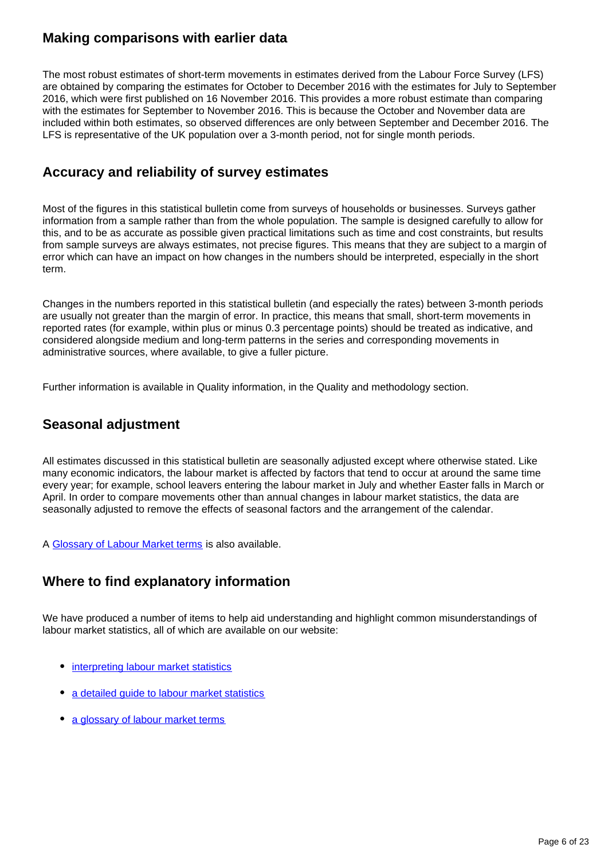#### **Making comparisons with earlier data**

The most robust estimates of short-term movements in estimates derived from the Labour Force Survey (LFS) are obtained by comparing the estimates for October to December 2016 with the estimates for July to September 2016, which were first published on 16 November 2016. This provides a more robust estimate than comparing with the estimates for September to November 2016. This is because the October and November data are included within both estimates, so observed differences are only between September and December 2016. The LFS is representative of the UK population over a 3-month period, not for single month periods.

#### **Accuracy and reliability of survey estimates**

Most of the figures in this statistical bulletin come from surveys of households or businesses. Surveys gather information from a sample rather than from the whole population. The sample is designed carefully to allow for this, and to be as accurate as possible given practical limitations such as time and cost constraints, but results from sample surveys are always estimates, not precise figures. This means that they are subject to a margin of error which can have an impact on how changes in the numbers should be interpreted, especially in the short term.

Changes in the numbers reported in this statistical bulletin (and especially the rates) between 3-month periods are usually not greater than the margin of error. In practice, this means that small, short-term movements in reported rates (for example, within plus or minus 0.3 percentage points) should be treated as indicative, and considered alongside medium and long-term patterns in the series and corresponding movements in administrative sources, where available, to give a fuller picture.

Further information is available in Quality information, in the Quality and methodology section.

#### **Seasonal adjustment**

All estimates discussed in this statistical bulletin are seasonally adjusted except where otherwise stated. Like many economic indicators, the labour market is affected by factors that tend to occur at around the same time every year; for example, school leavers entering the labour market in July and whether Easter falls in March or April. In order to compare movements other than annual changes in labour market statistics, the data are seasonally adjusted to remove the effects of seasonal factors and the arrangement of the calendar.

A [Glossary of Labour Market terms](https://www.ons.gov.uk/employmentandlabourmarket/peopleinwork/employmentandemployeetypes/methodologies/aguidetolabourmarketstatistics#glossary) is also available.

### **Where to find explanatory information**

We have produced a number of items to help aid understanding and highlight common misunderstandings of labour market statistics, all of which are available on our website:

- [interpreting labour market statistics](https://www.ons.gov.uk/employmentandlabourmarket/peopleinwork/employmentandemployeetypes/articles/singlemonthlabourforcesurveyestimates/december2016)
- [a detailed guide to labour market statistics](https://www.ons.gov.uk/employmentandlabourmarket/peopleinwork/employmentandemployeetypes/methodologies/aguidetolabourmarketstatistics)
- [a glossary of labour market terms](https://www.ons.gov.uk/employmentandlabourmarket/peopleinwork/employmentandemployeetypes/methodologies/aguidetolabourmarketstatistics#glossary)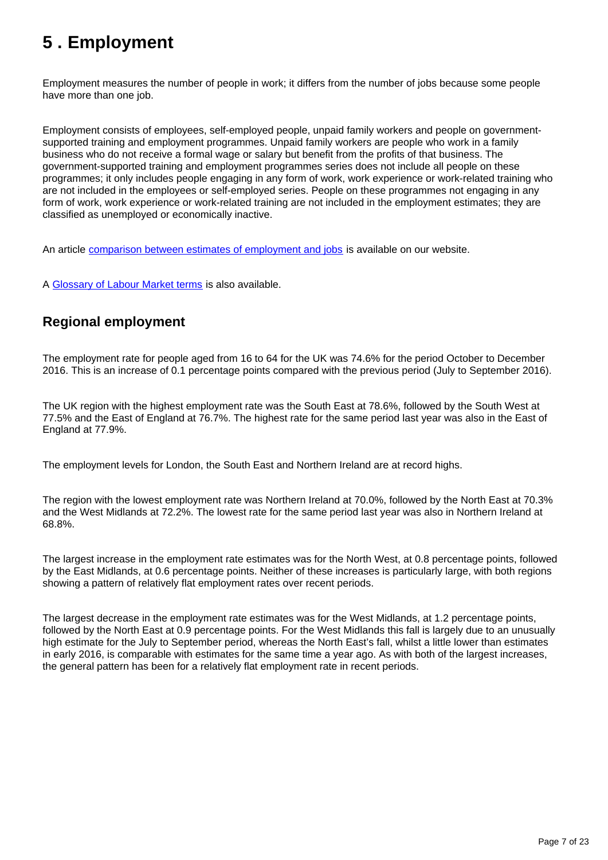## <span id="page-6-0"></span>**5 . Employment**

Employment measures the number of people in work; it differs from the number of jobs because some people have more than one job.

Employment consists of employees, self-employed people, unpaid family workers and people on governmentsupported training and employment programmes. Unpaid family workers are people who work in a family business who do not receive a formal wage or salary but benefit from the profits of that business. The government-supported training and employment programmes series does not include all people on these programmes; it only includes people engaging in any form of work, work experience or work-related training who are not included in the employees or self-employed series. People on these programmes not engaging in any form of work, work experience or work-related training are not included in the employment estimates; they are classified as unemployed or economically inactive.

An article [comparison between estimates of employment and jobs](http://www.ons.gov.uk/employmentandlabourmarket/peopleinwork/employmentandemployeetypes/articles/reconciliationofestimatesofjobs/latest) is available on our website.

A [Glossary of Labour Market terms](https://www.ons.gov.uk/employmentandlabourmarket/peopleinwork/employmentandemployeetypes/methodologies/aguidetolabourmarketstatistics#glossary) is also available.

## **Regional employment**

The employment rate for people aged from 16 to 64 for the UK was 74.6% for the period October to December 2016. This is an increase of 0.1 percentage points compared with the previous period (July to September 2016).

The UK region with the highest employment rate was the South East at 78.6%, followed by the South West at 77.5% and the East of England at 76.7%. The highest rate for the same period last year was also in the East of England at 77.9%.

The employment levels for London, the South East and Northern Ireland are at record highs.

The region with the lowest employment rate was Northern Ireland at 70.0%, followed by the North East at 70.3% and the West Midlands at 72.2%. The lowest rate for the same period last year was also in Northern Ireland at 68.8%.

The largest increase in the employment rate estimates was for the North West, at 0.8 percentage points, followed by the East Midlands, at 0.6 percentage points. Neither of these increases is particularly large, with both regions showing a pattern of relatively flat employment rates over recent periods.

The largest decrease in the employment rate estimates was for the West Midlands, at 1.2 percentage points, followed by the North East at 0.9 percentage points. For the West Midlands this fall is largely due to an unusually high estimate for the July to September period, whereas the North East's fall, whilst a little lower than estimates in early 2016, is comparable with estimates for the same time a year ago. As with both of the largest increases, the general pattern has been for a relatively flat employment rate in recent periods.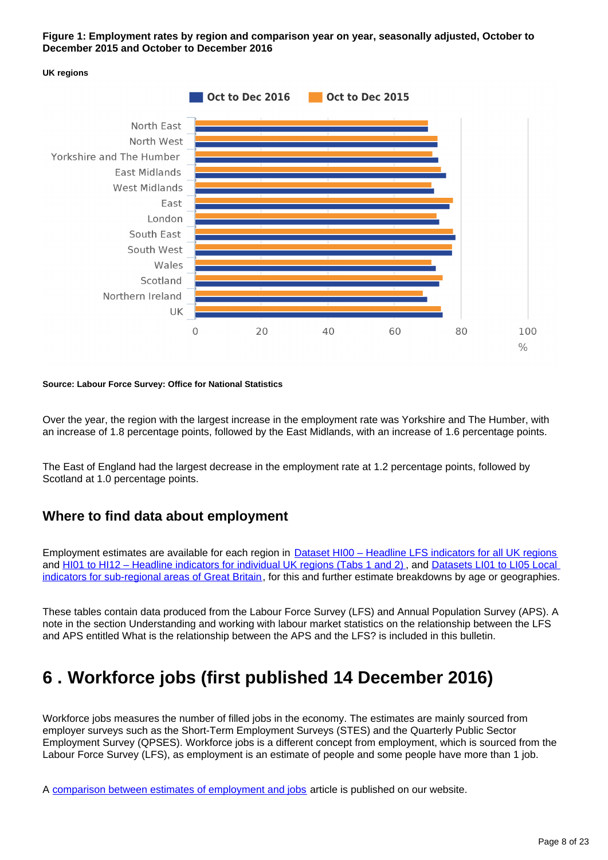#### **Figure 1: Employment rates by region and comparison year on year, seasonally adjusted, October to December 2015 and October to December 2016**



#### **Source: Labour Force Survey: Office for National Statistics**

Over the year, the region with the largest increase in the employment rate was Yorkshire and The Humber, with an increase of 1.8 percentage points, followed by the East Midlands, with an increase of 1.6 percentage points.

The East of England had the largest decrease in the employment rate at 1.2 percentage points, followed by Scotland at 1.0 percentage points.

#### **Where to find data about employment**

Employment estimates are available for each region in [Dataset HI00 – Headline LFS indicators for all UK regions](http://www.ons.gov.uk/employmentandlabourmarket/peopleinwork/employmentandemployeetypes/datasets/headlinelabourforcesurveyindicatorsforallregionshi00) and [HI01 to HI12 – Headline indicators for individual UK regions \(Tabs 1 and 2\)](http://www.ons.gov.uk/employmentandlabourmarket/peopleinwork/employmentandemployeetypes/bulletins/regionallabourmarket/jan2017/relateddata/) , and [Datasets LI01 to LI05 Local](http://www.ons.gov.uk/employmentandlabourmarket/peopleinwork/employmentandemployeetypes/bulletins/regionallabourmarket/jan2017/relateddata/)  [indicators for sub-regional areas of Great Britain](http://www.ons.gov.uk/employmentandlabourmarket/peopleinwork/employmentandemployeetypes/bulletins/regionallabourmarket/jan2017/relateddata/), for this and further estimate breakdowns by age or geographies.

These tables contain data produced from the Labour Force Survey (LFS) and Annual Population Survey (APS). A note in the section Understanding and working with labour market statistics on the relationship between the LFS and APS entitled What is the relationship between the APS and the LFS? is included in this bulletin.

## <span id="page-7-0"></span>**6 . Workforce jobs (first published 14 December 2016)**

Workforce jobs measures the number of filled jobs in the economy. The estimates are mainly sourced from employer surveys such as the Short-Term Employment Surveys (STES) and the Quarterly Public Sector Employment Survey (QPSES). Workforce jobs is a different concept from employment, which is sourced from the Labour Force Survey (LFS), as employment is an estimate of people and some people have more than 1 job.

A [comparison between estimates of employment and jobs](http://www.ons.gov.uk/employmentandlabourmarket/peopleinwork/employmentandemployeetypes/articles/reconciliationofestimatesofjobs/latest) article is published on our website.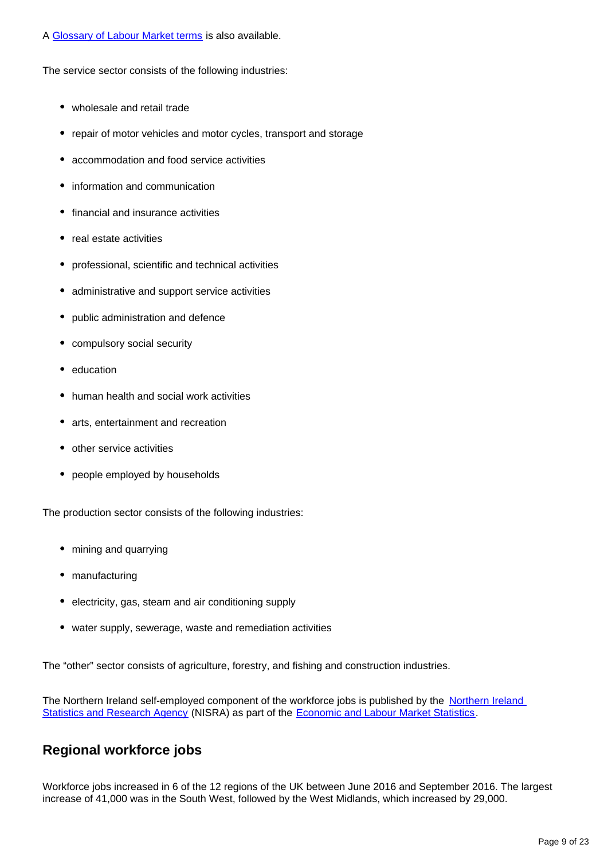A [Glossary of Labour Market terms](https://www.ons.gov.uk/employmentandlabourmarket/peopleinwork/employmentandemployeetypes/methodologies/aguidetolabourmarketstatistics#glossary) is also available.

The service sector consists of the following industries:

- wholesale and retail trade
- repair of motor vehicles and motor cycles, transport and storage
- accommodation and food service activities
- information and communication
- financial and insurance activities
- real estate activities
- professional, scientific and technical activities
- administrative and support service activities
- public administration and defence
- compulsory social security
- education
- human health and social work activities
- arts, entertainment and recreation
- other service activities
- people employed by households

The production sector consists of the following industries:

- mining and quarrying
- manufacturing
- electricity, gas, steam and air conditioning supply
- water supply, sewerage, waste and remediation activities

The "other" sector consists of agriculture, forestry, and fishing and construction industries.

The [Northern Ireland](https://www.gov.uk/government/organisations/northern-ireland-statistics-and-research-agency) self-employed component of the workforce jobs is published by the Northern Ireland [Statistics and Research Agency](https://www.gov.uk/government/organisations/northern-ireland-statistics-and-research-agency) (NISRA) as part of the [Economic and Labour Market Statistics.](https://www.economy-ni.gov.uk/articles/about-nisra-elms)

### **Regional workforce jobs**

Workforce jobs increased in 6 of the 12 regions of the UK between June 2016 and September 2016. The largest increase of 41,000 was in the South West, followed by the West Midlands, which increased by 29,000.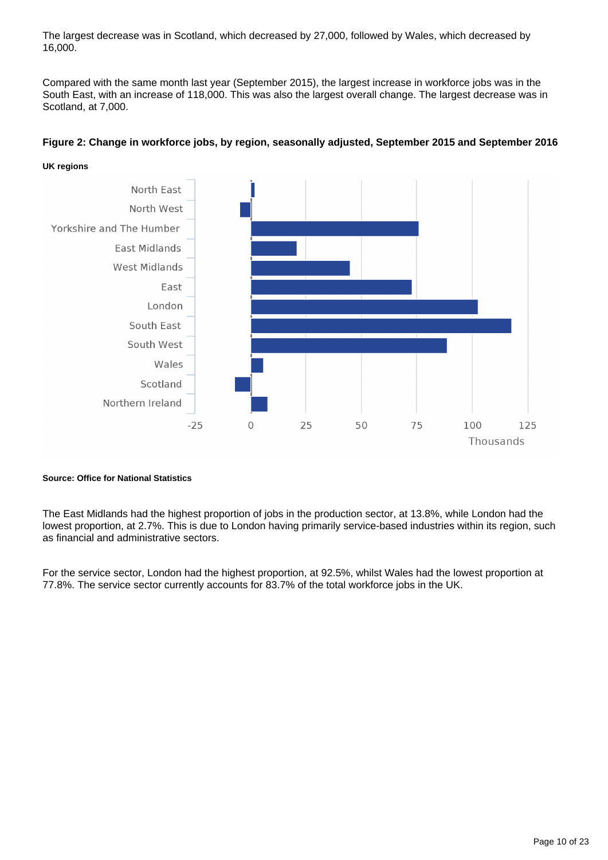The largest decrease was in Scotland, which decreased by 27,000, followed by Wales, which decreased by 16,000.

Compared with the same month last year (September 2015), the largest increase in workforce jobs was in the South East, with an increase of 118,000. This was also the largest overall change. The largest decrease was in Scotland, at 7,000.



#### **Figure 2: Change in workforce jobs, by region, seasonally adjusted, September 2015 and September 2016**

#### **Source: Office for National Statistics**

The East Midlands had the highest proportion of jobs in the production sector, at 13.8%, while London had the lowest proportion, at 2.7%. This is due to London having primarily service-based industries within its region, such as financial and administrative sectors.

For the service sector, London had the highest proportion, at 92.5%, whilst Wales had the lowest proportion at 77.8%. The service sector currently accounts for 83.7% of the total workforce jobs in the UK.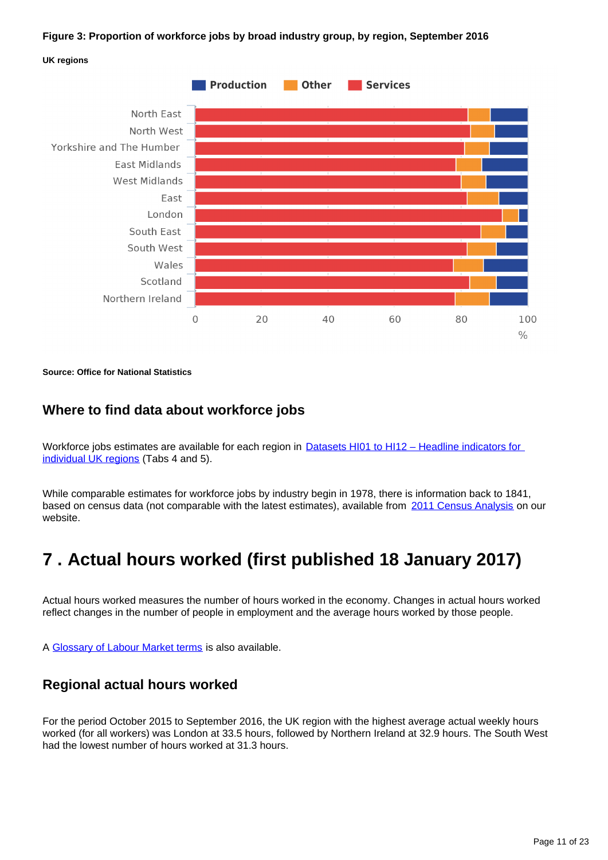#### **Figure 3: Proportion of workforce jobs by broad industry group, by region, September 2016**





**Source: Office for National Statistics**

#### **Where to find data about workforce jobs**

Workforce jobs estimates are available for each region in **Datasets HI01 to HI12 – Headline indicators for** [individual UK regions](http://www.ons.gov.uk/employmentandlabourmarket/peopleinwork/employmentandemployeetypes/bulletins/regionallabourmarket/jan2017/relateddata/) (Tabs 4 and 5).

While comparable estimates for workforce jobs by industry begin in 1978, there is information back to 1841, based on census data (not comparable with the latest estimates), available from [2011 Census Analysis](http://www.ons.gov.uk/ons/rel/census/2011-census-analysis/170-years-of-industry/index.html) on our website.

## <span id="page-10-0"></span>**7 . Actual hours worked (first published 18 January 2017)**

Actual hours worked measures the number of hours worked in the economy. Changes in actual hours worked reflect changes in the number of people in employment and the average hours worked by those people.

A [Glossary of Labour Market terms](https://www.ons.gov.uk/employmentandlabourmarket/peopleinwork/employmentandemployeetypes/methodologies/aguidetolabourmarketstatistics#glossary) is also available.

#### **Regional actual hours worked**

For the period October 2015 to September 2016, the UK region with the highest average actual weekly hours worked (for all workers) was London at 33.5 hours, followed by Northern Ireland at 32.9 hours. The South West had the lowest number of hours worked at 31.3 hours.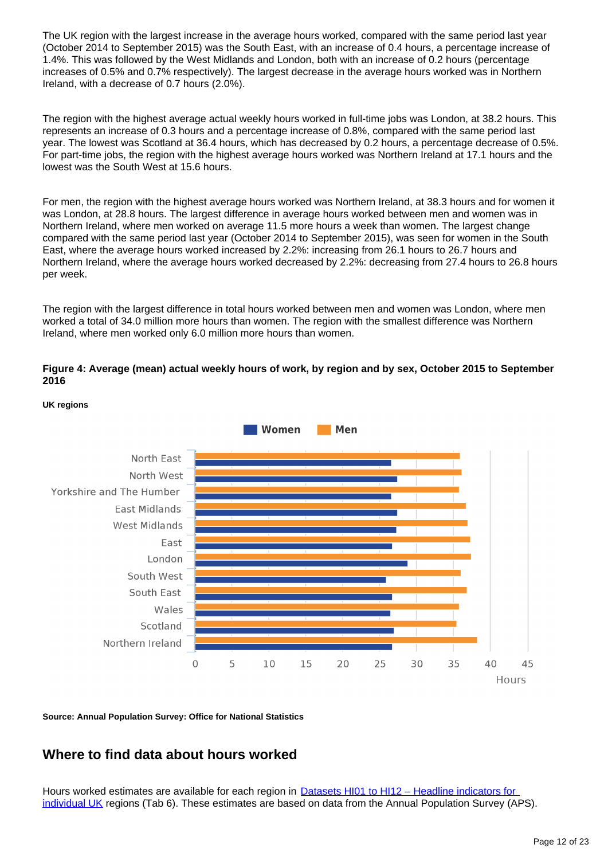The UK region with the largest increase in the average hours worked, compared with the same period last year (October 2014 to September 2015) was the South East, with an increase of 0.4 hours, a percentage increase of 1.4%. This was followed by the West Midlands and London, both with an increase of 0.2 hours (percentage increases of 0.5% and 0.7% respectively). The largest decrease in the average hours worked was in Northern Ireland, with a decrease of 0.7 hours (2.0%).

The region with the highest average actual weekly hours worked in full-time jobs was London, at 38.2 hours. This represents an increase of 0.3 hours and a percentage increase of 0.8%, compared with the same period last year. The lowest was Scotland at 36.4 hours, which has decreased by 0.2 hours, a percentage decrease of 0.5%. For part-time jobs, the region with the highest average hours worked was Northern Ireland at 17.1 hours and the lowest was the South West at 15.6 hours.

For men, the region with the highest average hours worked was Northern Ireland, at 38.3 hours and for women it was London, at 28.8 hours. The largest difference in average hours worked between men and women was in Northern Ireland, where men worked on average 11.5 more hours a week than women. The largest change compared with the same period last year (October 2014 to September 2015), was seen for women in the South East, where the average hours worked increased by 2.2%: increasing from 26.1 hours to 26.7 hours and Northern Ireland, where the average hours worked decreased by 2.2%: decreasing from 27.4 hours to 26.8 hours per week.

The region with the largest difference in total hours worked between men and women was London, where men worked a total of 34.0 million more hours than women. The region with the smallest difference was Northern Ireland, where men worked only 6.0 million more hours than women.

**Figure 4: Average (mean) actual weekly hours of work, by region and by sex, October 2015 to September 2016**



**UK regions**

**Source: Annual Population Survey: Office for National Statistics**

### **Where to find data about hours worked**

Hours worked estimates are available for each region in Datasets HI01 to HI12 – Headline indicators for [individual UK](http://www.ons.gov.uk/employmentandlabourmarket/peopleinwork/employmentandemployeetypes/bulletins/regionallabourmarket/jan2017/relateddata/) regions (Tab 6). These estimates are based on data from the Annual Population Survey (APS).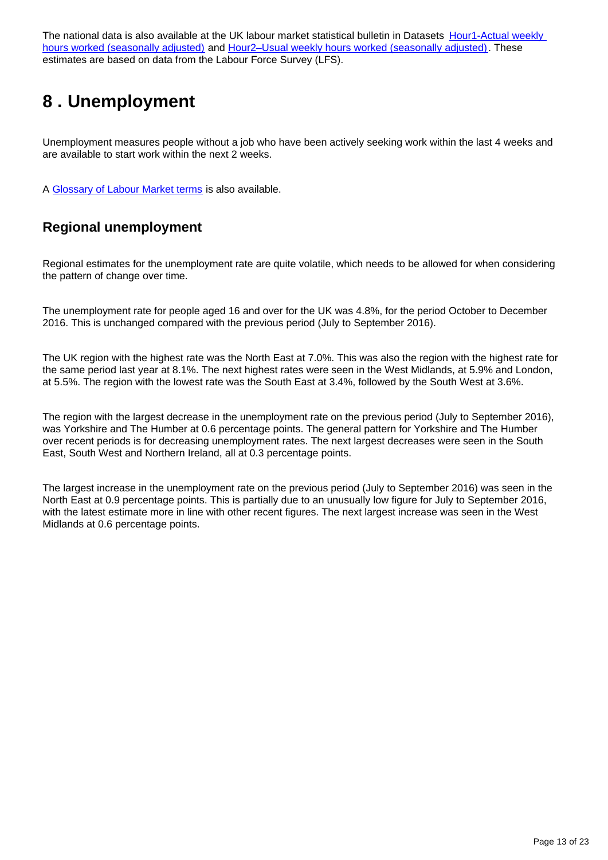The national data is also available at the UK labour market statistical bulletin in Datasets Hour1-Actual weekly [hours worked \(seasonally adjusted\)](http://www.ons.gov.uk/employmentandlabourmarket/peopleinwork/earningsandworkinghours/datasets/actualweeklyhoursworkedseasonallyadjustedhour01sa) and [Hour2–Usual weekly hours worked \(seasonally adjusted\)](http://www.ons.gov.uk/employmentandlabourmarket/peopleinwork/earningsandworkinghours/datasets/usualweeklyhoursworkedseasonallyadjustedhour02sa). These estimates are based on data from the Labour Force Survey (LFS).

## <span id="page-12-0"></span>**8 . Unemployment**

Unemployment measures people without a job who have been actively seeking work within the last 4 weeks and are available to start work within the next 2 weeks.

A [Glossary of Labour Market terms](https://www.ons.gov.uk/employmentandlabourmarket/peopleinwork/employmentandemployeetypes/methodologies/aguidetolabourmarketstatistics#glossary) is also available.

### **Regional unemployment**

Regional estimates for the unemployment rate are quite volatile, which needs to be allowed for when considering the pattern of change over time.

The unemployment rate for people aged 16 and over for the UK was 4.8%, for the period October to December 2016. This is unchanged compared with the previous period (July to September 2016).

The UK region with the highest rate was the North East at 7.0%. This was also the region with the highest rate for the same period last year at 8.1%. The next highest rates were seen in the West Midlands, at 5.9% and London, at 5.5%. The region with the lowest rate was the South East at 3.4%, followed by the South West at 3.6%.

The region with the largest decrease in the unemployment rate on the previous period (July to September 2016), was Yorkshire and The Humber at 0.6 percentage points. The general pattern for Yorkshire and The Humber over recent periods is for decreasing unemployment rates. The next largest decreases were seen in the South East, South West and Northern Ireland, all at 0.3 percentage points.

The largest increase in the unemployment rate on the previous period (July to September 2016) was seen in the North East at 0.9 percentage points. This is partially due to an unusually low figure for July to September 2016, with the latest estimate more in line with other recent figures. The next largest increase was seen in the West Midlands at 0.6 percentage points.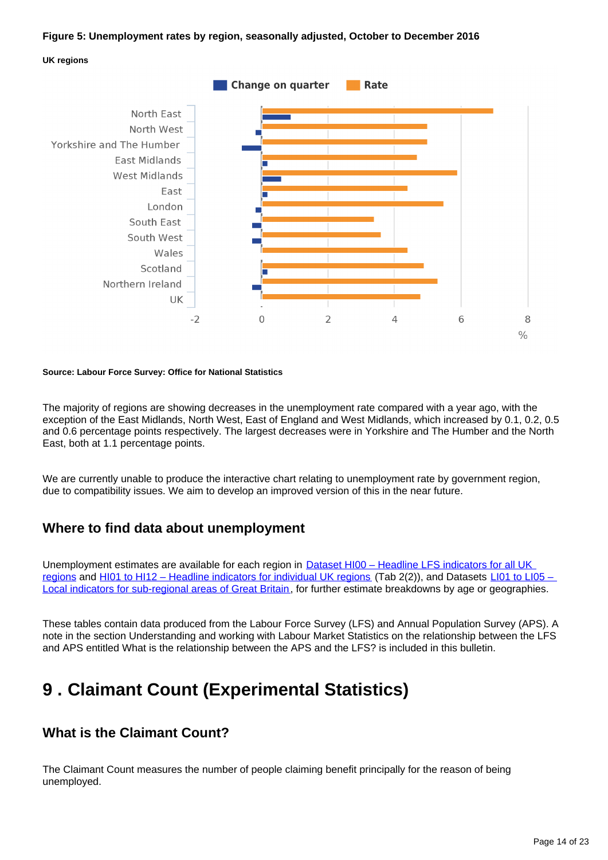#### **Figure 5: Unemployment rates by region, seasonally adjusted, October to December 2016**





#### **Source: Labour Force Survey: Office for National Statistics**

The majority of regions are showing decreases in the unemployment rate compared with a year ago, with the exception of the East Midlands, North West, East of England and West Midlands, which increased by 0.1, 0.2, 0.5 and 0.6 percentage points respectively. The largest decreases were in Yorkshire and The Humber and the North East, both at 1.1 percentage points.

We are currently unable to produce the interactive chart relating to unemployment rate by government region, due to compatibility issues. We aim to develop an improved version of this in the near future.

#### **Where to find data about unemployment**

Unemployment estimates are available for each region in [Dataset HI00 – Headline LFS indicators for all UK](http://www.ons.gov.uk/employmentandlabourmarket/peopleinwork/employmentandemployeetypes/datasets/headlinelabourforcesurveyindicatorsforallregionshi00)  [regions](http://www.ons.gov.uk/employmentandlabourmarket/peopleinwork/employmentandemployeetypes/datasets/headlinelabourforcesurveyindicatorsforallregionshi00) and [HI01 to HI12 – Headline indicators for individual UK regions](http://www.ons.gov.uk/employmentandlabourmarket/peopleinwork/employmentandemployeetypes/bulletins/regionallabourmarket/jan2017/relateddata/) (Tab 2(2)), and Datasets LI01 to LI05 – [Local indicators for sub-regional areas of Great Britain](http://www.ons.gov.uk/employmentandlabourmarket/peopleinwork/employmentandemployeetypes/bulletins/regionallabourmarket/jan2017/relateddata/), for further estimate breakdowns by age or geographies.

These tables contain data produced from the Labour Force Survey (LFS) and Annual Population Survey (APS). A note in the section Understanding and working with Labour Market Statistics on the relationship between the LFS and APS entitled What is the relationship between the APS and the LFS? is included in this bulletin.

## <span id="page-13-0"></span>**9 . Claimant Count (Experimental Statistics)**

### **What is the Claimant Count?**

The Claimant Count measures the number of people claiming benefit principally for the reason of being unemployed.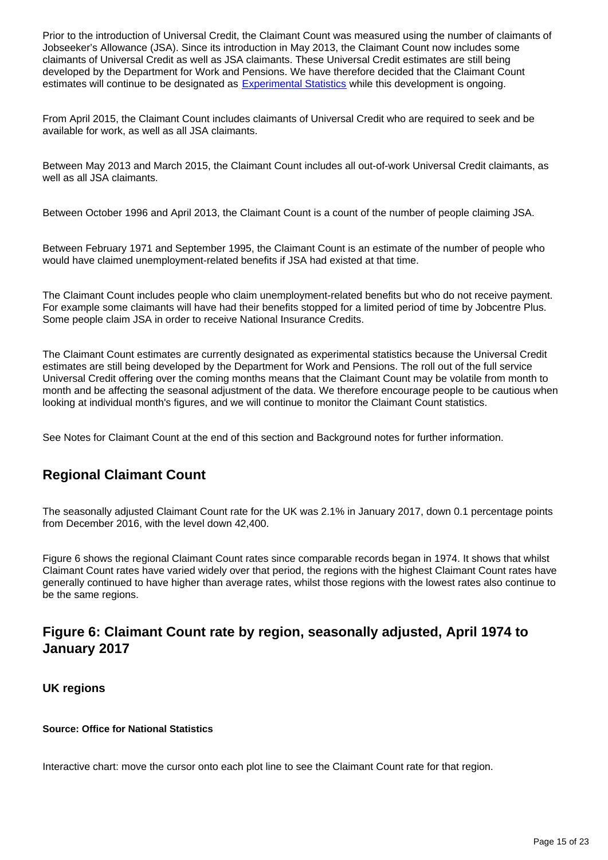Prior to the introduction of Universal Credit, the Claimant Count was measured using the number of claimants of Jobseeker's Allowance (JSA). Since its introduction in May 2013, the Claimant Count now includes some claimants of Universal Credit as well as JSA claimants. These Universal Credit estimates are still being developed by the Department for Work and Pensions. We have therefore decided that the Claimant Count estimates will continue to be designated as **[Experimental Statistics](https://www.ons.gov.uk/methodology/methodologytopicsandstatisticalconcepts/guidetoexperimentalstatistics)** while this development is ongoing.

From April 2015, the Claimant Count includes claimants of Universal Credit who are required to seek and be available for work, as well as all JSA claimants.

Between May 2013 and March 2015, the Claimant Count includes all out-of-work Universal Credit claimants, as well as all JSA claimants.

Between October 1996 and April 2013, the Claimant Count is a count of the number of people claiming JSA.

Between February 1971 and September 1995, the Claimant Count is an estimate of the number of people who would have claimed unemployment-related benefits if JSA had existed at that time.

The Claimant Count includes people who claim unemployment-related benefits but who do not receive payment. For example some claimants will have had their benefits stopped for a limited period of time by Jobcentre Plus. Some people claim JSA in order to receive National Insurance Credits.

The Claimant Count estimates are currently designated as experimental statistics because the Universal Credit estimates are still being developed by the Department for Work and Pensions. The roll out of the full service Universal Credit offering over the coming months means that the Claimant Count may be volatile from month to month and be affecting the seasonal adjustment of the data. We therefore encourage people to be cautious when looking at individual month's figures, and we will continue to monitor the Claimant Count statistics.

See Notes for Claimant Count at the end of this section and Background notes for further information.

### **Regional Claimant Count**

The seasonally adjusted Claimant Count rate for the UK was 2.1% in January 2017, down 0.1 percentage points from December 2016, with the level down 42,400.

Figure 6 shows the regional Claimant Count rates since comparable records began in 1974. It shows that whilst Claimant Count rates have varied widely over that period, the regions with the highest Claimant Count rates have generally continued to have higher than average rates, whilst those regions with the lowest rates also continue to be the same regions.

### **Figure 6: Claimant Count rate by region, seasonally adjusted, April 1974 to January 2017**

#### **UK regions**

#### **Source: Office for National Statistics**

Interactive chart: move the cursor onto each plot line to see the Claimant Count rate for that region.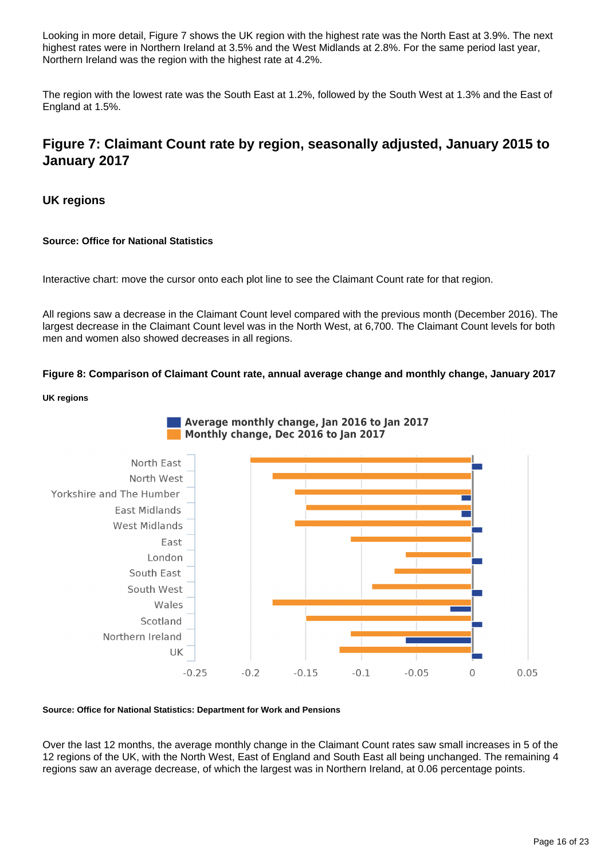Looking in more detail, Figure 7 shows the UK region with the highest rate was the North East at 3.9%. The next highest rates were in Northern Ireland at 3.5% and the West Midlands at 2.8%. For the same period last year, Northern Ireland was the region with the highest rate at 4.2%.

The region with the lowest rate was the South East at 1.2%, followed by the South West at 1.3% and the East of England at 1.5%.

### **Figure 7: Claimant Count rate by region, seasonally adjusted, January 2015 to January 2017**

#### **UK regions**

#### **Source: Office for National Statistics**

Interactive chart: move the cursor onto each plot line to see the Claimant Count rate for that region.

All regions saw a decrease in the Claimant Count level compared with the previous month (December 2016). The largest decrease in the Claimant Count level was in the North West, at 6,700. The Claimant Count levels for both men and women also showed decreases in all regions.

**Figure 8: Comparison of Claimant Count rate, annual average change and monthly change, January 2017**

#### **UK regions**



#### **Source: Office for National Statistics: Department for Work and Pensions**

Over the last 12 months, the average monthly change in the Claimant Count rates saw small increases in 5 of the 12 regions of the UK, with the North West, East of England and South East all being unchanged. The remaining 4 regions saw an average decrease, of which the largest was in Northern Ireland, at 0.06 percentage points.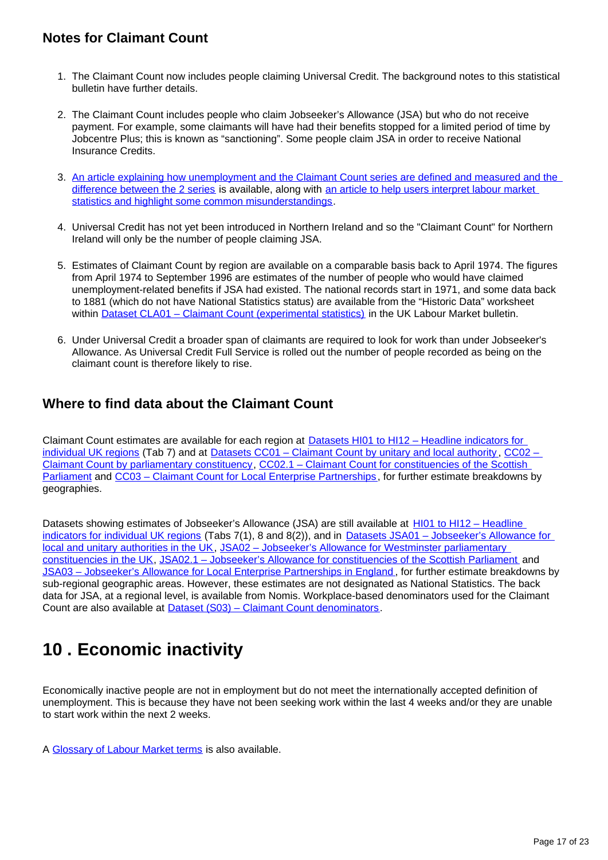### **Notes for Claimant Count**

- 1. The Claimant Count now includes people claiming Universal Credit. The background notes to this statistical bulletin have further details.
- 2. The Claimant Count includes people who claim Jobseeker's Allowance (JSA) but who do not receive payment. For example, some claimants will have had their benefits stopped for a limited period of time by Jobcentre Plus; this is known as "sanctioning". Some people claim JSA in order to receive National Insurance Credits.
- 3. An article explaining how unemployment and the Claimant Count series are defined and measured and the [difference between the 2 series](https://www.ons.gov.uk/employmentandlabourmarket/peopleinwork/employmentandemployeetypes/qmis/claimantcountqmi) is available, along with [an article to help users interpret labour market](https://www.ons.gov.uk/employmentandlabourmarket/peopleinwork/employmentandemployeetypes/methodologies/aguidetolabourmarketstatistics#abstract)  [statistics and highlight some common misunderstandings](https://www.ons.gov.uk/employmentandlabourmarket/peopleinwork/employmentandemployeetypes/methodologies/aguidetolabourmarketstatistics#abstract).
- 4. Universal Credit has not yet been introduced in Northern Ireland and so the "Claimant Count" for Northern Ireland will only be the number of people claiming JSA.
- 5. Estimates of Claimant Count by region are available on a comparable basis back to April 1974. The figures from April 1974 to September 1996 are estimates of the number of people who would have claimed unemployment-related benefits if JSA had existed. The national records start in 1971, and some data back to 1881 (which do not have National Statistics status) are available from the "Historic Data" worksheet within [Dataset CLA01 – Claimant Count \(experimental statistics\)](http://www.ons.gov.uk/employmentandlabourmarket/peoplenotinwork/outofworkbenefits/datasets/claimantcountcla01) in the UK Labour Market bulletin.
- 6. Under Universal Credit a broader span of claimants are required to look for work than under Jobseeker's Allowance. As Universal Credit Full Service is rolled out the number of people recorded as being on the claimant count is therefore likely to rise.

### **Where to find data about the Claimant Count**

Claimant Count estimates are available for each region at **Datasets HI01 to HI12 – Headline indicators for** <u>individual UK regions</u> (Tab 7) and at <u>[Datasets CC01 – Claimant Count by unitary and local authority](http://www.ons.gov.uk/employmentandlabourmarket/peoplenotinwork/unemployment/datasets/claimantcountbyunitaryandlocalauthorityexperimental) , CC02 –</u> [Claimant Count by parliamentary constituency](http://www.ons.gov.uk/employmentandlabourmarket/peoplenotinwork/unemployment/datasets/claimantcountbyparliamentaryconstituencyexperimental), [CC02.1 – Claimant Count for constituencies of the Scottish](https://www.ons.gov.uk/employmentandlabourmarket/peopleinwork/employmentandemployeetypes/datasets/cc021regionallabourmarketclaimantcountforscottishparliamentaryconstituenciesexperimental)  [Parliament](https://www.ons.gov.uk/employmentandlabourmarket/peopleinwork/employmentandemployeetypes/datasets/cc021regionallabourmarketclaimantcountforscottishparliamentaryconstituenciesexperimental) and [CC03 – Claimant Count for Local Enterprise Partnerships](https://www.ons.gov.uk/employmentandlabourmarket/peopleinwork/employmentandemployeetypes/datasets/cc03regionallabourmarketclaimantcountforlocalenterprisepartnershipsexperimental), for further estimate breakdowns by geographies.

Datasets showing estimates of Jobseeker's Allowance (JSA) are still available at HI01 to HI12 – Headline [indicators for individual UK regions](http://www.ons.gov.uk/employmentandlabourmarket/peopleinwork/employmentandemployeetypes/bulletins/regionallabourmarket/jan2017/relateddata/) (Tabs 7(1), 8 and 8(2)), and in Datasets JSA01 – Jobseeker's Allowance for [local and unitary authorities in the UK,](http://www.ons.gov.uk/employmentandlabourmarket/peoplenotinwork/unemployment/datasets/jobseekersallowanceforlocalandunitaryauthoritiesjsa01) JSA02 - Jobseeker's Allowance for Westminster parliamentary [constituencies in the UK](http://www.ons.gov.uk/employmentandlabourmarket/peoplenotinwork/unemployment/datasets/jobseekersallowanceforparliamentaryconstituenciesjsa02), [JSA02.1 – Jobseeker's Allowance for constituencies of the Scottish Parliament](http://www.ons.gov.uk/employmentandlabourmarket/peoplenotinwork/unemployment/datasets/jobseekersallowanceforscottishparliamentaryconstituenciesjsa021) and [JSA03 – Jobseeker's Allowance for Local Enterprise Partnerships in England](http://www.ons.gov.uk/employmentandlabourmarket/peoplenotinwork/unemployment/datasets/jobseekersallowanceforlocalenterprisepartnershipsjsa03) , for further estimate breakdowns by sub-regional geographic areas. However, these estimates are not designated as National Statistics. The back data for JSA, at a regional level, is available from Nomis. Workplace-based denominators used for the Claimant Count are also available at [Dataset \(S03\) – Claimant Count denominators](http://www.ons.gov.uk/employmentandlabourmarket/peoplenotinwork/unemployment/datasets/workplacebaseddenominatorsusedfortheclaimantcountforregionallabourmarketstatisticss03).

## <span id="page-16-0"></span>**10 . Economic inactivity**

Economically inactive people are not in employment but do not meet the internationally accepted definition of unemployment. This is because they have not been seeking work within the last 4 weeks and/or they are unable to start work within the next 2 weeks.

A [Glossary of Labour Market terms](https://www.ons.gov.uk/employmentandlabourmarket/peopleinwork/employmentandemployeetypes/methodologies/aguidetolabourmarketstatistics#glossary) is also available.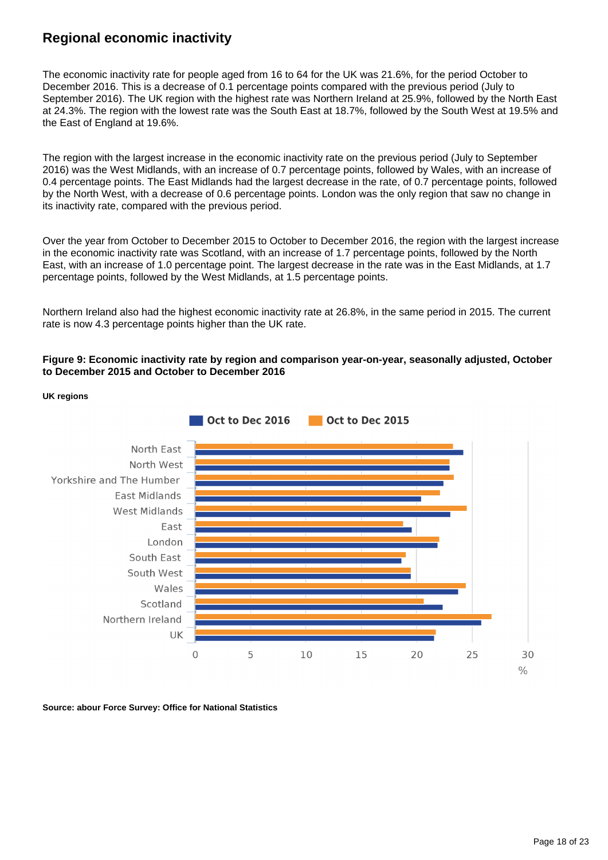### **Regional economic inactivity**

The economic inactivity rate for people aged from 16 to 64 for the UK was 21.6%, for the period October to December 2016. This is a decrease of 0.1 percentage points compared with the previous period (July to September 2016). The UK region with the highest rate was Northern Ireland at 25.9%, followed by the North East at 24.3%. The region with the lowest rate was the South East at 18.7%, followed by the South West at 19.5% and the East of England at 19.6%.

The region with the largest increase in the economic inactivity rate on the previous period (July to September 2016) was the West Midlands, with an increase of 0.7 percentage points, followed by Wales, with an increase of 0.4 percentage points. The East Midlands had the largest decrease in the rate, of 0.7 percentage points, followed by the North West, with a decrease of 0.6 percentage points. London was the only region that saw no change in its inactivity rate, compared with the previous period.

Over the year from October to December 2015 to October to December 2016, the region with the largest increase in the economic inactivity rate was Scotland, with an increase of 1.7 percentage points, followed by the North East, with an increase of 1.0 percentage point. The largest decrease in the rate was in the East Midlands, at 1.7 percentage points, followed by the West Midlands, at 1.5 percentage points.

Northern Ireland also had the highest economic inactivity rate at 26.8%, in the same period in 2015. The current rate is now 4.3 percentage points higher than the UK rate.

#### **Figure 9: Economic inactivity rate by region and comparison year-on-year, seasonally adjusted, October to December 2015 and October to December 2016**



**UK regions**

**Source: abour Force Survey: Office for National Statistics**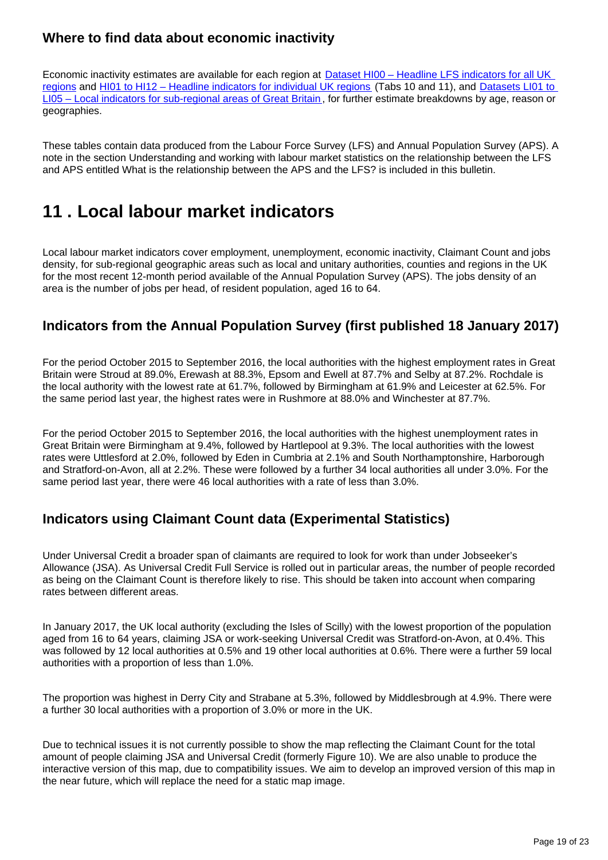### **Where to find data about economic inactivity**

Economic inactivity estimates are available for each region at Dataset HI00 – Headline LFS indicators for all UK [regions](http://www.ons.gov.uk/employmentandlabourmarket/peopleinwork/employmentandemployeetypes/datasets/headlinelabourforcesurveyindicatorsforallregionshi00) and [HI01 to HI12 – Headline indicators for individual UK regions](http://www.ons.gov.uk/employmentandlabourmarket/peopleinwork/employmentandemployeetypes/bulletins/regionallabourmarket/jan2017/relateddata/) (Tabs 10 and 11), and [Datasets LI01 to](http://www.ons.gov.uk/employmentandlabourmarket/peopleinwork/employmentandemployeetypes/bulletins/regionallabourmarket/jan2017/relateddata/)  [LI05 – Local indicators for sub-regional areas of Great Britain](http://www.ons.gov.uk/employmentandlabourmarket/peopleinwork/employmentandemployeetypes/bulletins/regionallabourmarket/jan2017/relateddata/) , for further estimate breakdowns by age, reason or geographies.

These tables contain data produced from the Labour Force Survey (LFS) and Annual Population Survey (APS). A note in the section Understanding and working with labour market statistics on the relationship between the LFS and APS entitled What is the relationship between the APS and the LFS? is included in this bulletin.

## <span id="page-18-0"></span>**11 . Local labour market indicators**

Local labour market indicators cover employment, unemployment, economic inactivity, Claimant Count and jobs density, for sub-regional geographic areas such as local and unitary authorities, counties and regions in the UK for the most recent 12-month period available of the Annual Population Survey (APS). The jobs density of an area is the number of jobs per head, of resident population, aged 16 to 64.

### **Indicators from the Annual Population Survey (first published 18 January 2017)**

For the period October 2015 to September 2016, the local authorities with the highest employment rates in Great Britain were Stroud at 89.0%, Erewash at 88.3%, Epsom and Ewell at 87.7% and Selby at 87.2%. Rochdale is the local authority with the lowest rate at 61.7%, followed by Birmingham at 61.9% and Leicester at 62.5%. For the same period last year, the highest rates were in Rushmore at 88.0% and Winchester at 87.7%.

For the period October 2015 to September 2016, the local authorities with the highest unemployment rates in Great Britain were Birmingham at 9.4%, followed by Hartlepool at 9.3%. The local authorities with the lowest rates were Uttlesford at 2.0%, followed by Eden in Cumbria at 2.1% and South Northamptonshire, Harborough and Stratford-on-Avon, all at 2.2%. These were followed by a further 34 local authorities all under 3.0%. For the same period last year, there were 46 local authorities with a rate of less than 3.0%.

## **Indicators using Claimant Count data (Experimental Statistics)**

Under Universal Credit a broader span of claimants are required to look for work than under Jobseeker's Allowance (JSA). As Universal Credit Full Service is rolled out in particular areas, the number of people recorded as being on the Claimant Count is therefore likely to rise. This should be taken into account when comparing rates between different areas.

In January 2017, the UK local authority (excluding the Isles of Scilly) with the lowest proportion of the population aged from 16 to 64 years, claiming JSA or work-seeking Universal Credit was Stratford-on-Avon, at 0.4%. This was followed by 12 local authorities at 0.5% and 19 other local authorities at 0.6%. There were a further 59 local authorities with a proportion of less than 1.0%.

The proportion was highest in Derry City and Strabane at 5.3%, followed by Middlesbrough at 4.9%. There were a further 30 local authorities with a proportion of 3.0% or more in the UK.

Due to technical issues it is not currently possible to show the map reflecting the Claimant Count for the total amount of people claiming JSA and Universal Credit (formerly Figure 10). We are also unable to produce the interactive version of this map, due to compatibility issues. We aim to develop an improved version of this map in the near future, which will replace the need for a static map image.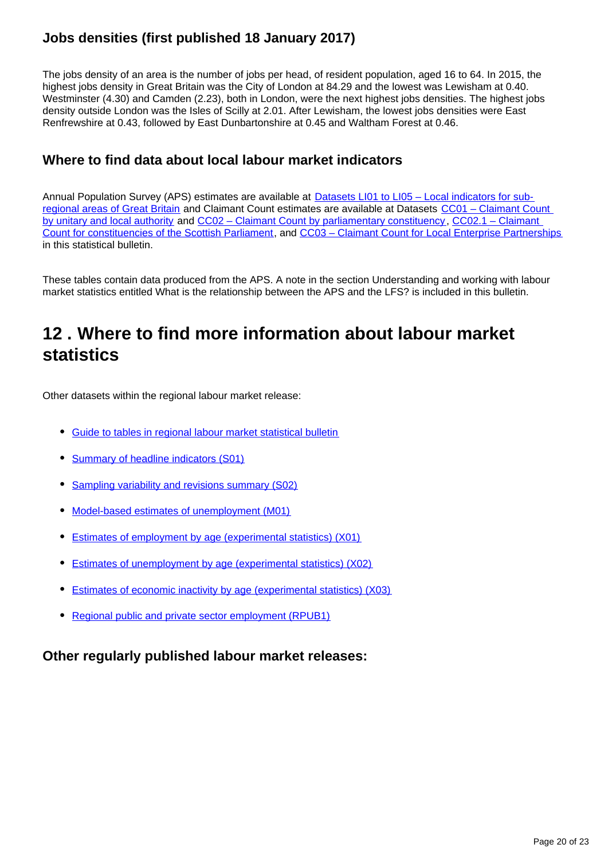## **Jobs densities (first published 18 January 2017)**

The jobs density of an area is the number of jobs per head, of resident population, aged 16 to 64. In 2015, the highest jobs density in Great Britain was the City of London at 84.29 and the lowest was Lewisham at 0.40. Westminster (4.30) and Camden (2.23), both in London, were the next highest jobs densities. The highest jobs density outside London was the Isles of Scilly at 2.01. After Lewisham, the lowest jobs densities were East Renfrewshire at 0.43, followed by East Dunbartonshire at 0.45 and Waltham Forest at 0.46.

### **Where to find data about local labour market indicators**

Annual Population Survey (APS) estimates are available at [Datasets LI01 to LI05 – Local indicators for sub](http://www.ons.gov.uk/employmentandlabourmarket/peopleinwork/employmentandemployeetypes/bulletins/regionallabourmarket/jan2017/relateddata/)[regional areas of Great Britain](http://www.ons.gov.uk/employmentandlabourmarket/peopleinwork/employmentandemployeetypes/bulletins/regionallabourmarket/jan2017/relateddata/) and Claimant Count estimates are available at Datasets [CC01 – Claimant Count](http://www.ons.gov.uk/employmentandlabourmarket/peoplenotinwork/unemployment/datasets/claimantcountbyunitaryandlocalauthorityexperimental)  [by unitary and local authority](http://www.ons.gov.uk/employmentandlabourmarket/peoplenotinwork/unemployment/datasets/claimantcountbyunitaryandlocalauthorityexperimental) and [CC02 – Claimant Count by parliamentary constituency](http://www.ons.gov.uk/employmentandlabourmarket/peoplenotinwork/unemployment/datasets/claimantcountbyparliamentaryconstituencyexperimental) , [CC02.1 – Claimant](https://www.ons.gov.uk/employmentandlabourmarket/peopleinwork/employmentandemployeetypes/datasets/cc021regionallabourmarketclaimantcountforscottishparliamentaryconstituenciesexperimental)  [Count for constituencies of the Scottish Parliament](https://www.ons.gov.uk/employmentandlabourmarket/peopleinwork/employmentandemployeetypes/datasets/cc021regionallabourmarketclaimantcountforscottishparliamentaryconstituenciesexperimental), and [CC03 – Claimant Count for Local Enterprise Partnerships](https://www.ons.gov.uk/employmentandlabourmarket/peopleinwork/employmentandemployeetypes/datasets/cc03regionallabourmarketclaimantcountforlocalenterprisepartnershipsexperimental) in this statistical bulletin.

These tables contain data produced from the APS. A note in the section Understanding and working with labour market statistics entitled What is the relationship between the APS and the LFS? is included in this bulletin.

## <span id="page-19-0"></span>**12 . Where to find more information about labour market statistics**

Other datasets within the regional labour market release:

- [Guide to tables in regional labour market statistical bulletin](http://www.ons.gov.uk/employmentandlabourmarket/peopleinwork/employmentandemployeetypes/datasets/guidetotablesinregionallabourmarketstatisticalbulletin)
- [Summary of headline indicators \(S01\)](http://www.ons.gov.uk/employmentandlabourmarket/peopleinwork/employmentandemployeetypes/datasets/nationallabourmarketsummarybyregions01)
- [Sampling variability and revisions summary \(S02\)](http://www.ons.gov.uk/employmentandlabourmarket/peopleinwork/employmentandemployeetypes/datasets/samplingvariabilityandrevisionssummaryforregionallabourmarketstatisticss02)
- [Model-based estimates of unemployment \(M01\)](http://www.ons.gov.uk/employmentandlabourmarket/peoplenotinwork/unemployment/datasets/modelledunemploymentforlocalandunitaryauthoritiesm01)
- [Estimates of employment by age \(experimental statistics\) \(X01\)](http://www.ons.gov.uk/employmentandlabourmarket/peopleinwork/employmentandemployeetypes/datasets/regionalemploymentbyagex01)
- [Estimates of unemployment by age \(experimental statistics\) \(X02\)](http://www.ons.gov.uk/employmentandlabourmarket/peoplenotinwork/unemployment/datasets/regionalunemploymentbyagex02)
- [Estimates of economic inactivity by age \(experimental statistics\) \(X03\)](http://www.ons.gov.uk/employmentandlabourmarket/peoplenotinwork/unemployment/datasets/regionalinactivitybyagex03)
- [Regional public and private sector employment \(RPUB1\)](http://www.ons.gov.uk/employmentandlabourmarket/peopleinwork/employmentandemployeetypes/datasets/regionalpublicandprivateemployment)

#### **Other regularly published labour market releases:**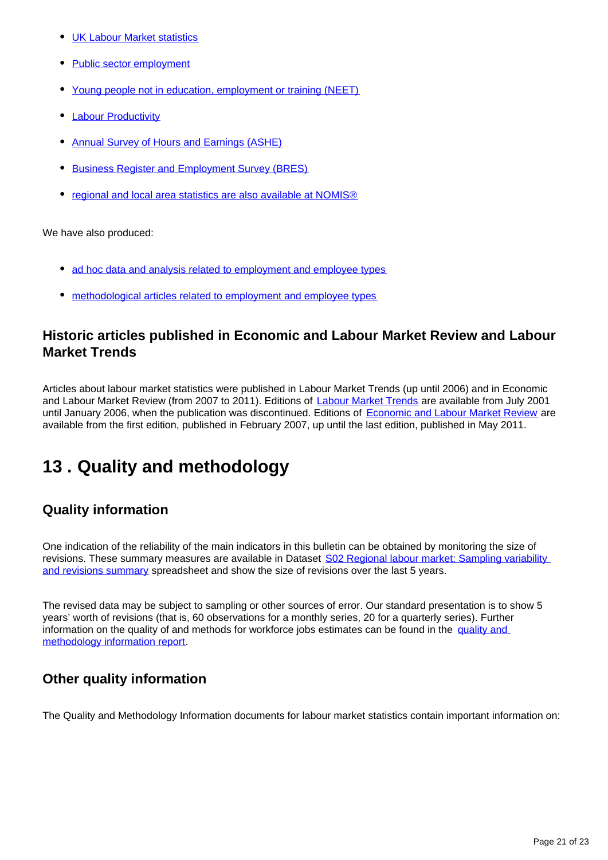- [UK Labour Market statistics](http://www.ons.gov.uk/employmentandlabourmarket/peopleinwork/employmentandemployeetypes/bulletins/uklabourmarket/previousReleases)
- [Public sector employment](http://www.ons.gov.uk/employmentandlabourmarket/peopleinwork/publicsectorpersonnel/bulletins/publicsectoremployment/previousReleases)
- [Young people not in education, employment or training \(NEET\)](http://www.ons.gov.uk/employmentandlabourmarket/peoplenotinwork/unemployment/bulletins/youngpeoplenotineducationemploymentortrainingneet/previousReleases)
- [Labour Productivity](http://www.ons.gov.uk/employmentandlabourmarket/peopleinwork/labourproductivity/bulletins/labourproductivity/previousReleases)
- [Annual Survey of Hours and Earnings \(ASHE\)](http://www.ons.gov.uk/employmentandlabourmarket/peopleinwork/earningsandworkinghours/bulletins/annualsurveyofhoursandearnings/previousReleases)
- [Business Register and Employment Survey \(BRES\)](http://www.ons.gov.uk/employmentandlabourmarket/peopleinwork/employmentandemployeetypes/bulletins/businessregisterandemploymentsurveybresprovisionalresults/previousReleases)
- [regional and local area statistics are also available at NOMIS®](http://www.nomisweb.co.uk/)

We have also produced:

- [ad hoc data and analysis related to employment and employee types](https://www.ons.gov.uk/employmentandlabourmarket/peopleinwork/employmentandemployeetypes/publications)
- [methodological articles related to employment and employee types](https://www.ons.gov.uk/employmentandlabourmarket/peopleinwork/employmentandemployeetypes/topicspecificmethodology)

#### **Historic articles published in Economic and Labour Market Review and Labour Market Trends**

Articles about labour market statistics were published in Labour Market Trends (up until 2006) and in Economic and Labour Market Review (from 2007 to 2011). Editions of [Labour Market Trends](http://www.ons.gov.uk/ons/rel/lms/labour-market-trends--discontinued-/index.html) are available from July 2001 until January 2006, when the publication was discontinued. Editions of [Economic and Labour Market Review](http://www.ons.gov.uk/ons/rel/elmr/economic-and-labour-market-review/index.html) are available from the first edition, published in February 2007, up until the last edition, published in May 2011.

## <span id="page-20-0"></span>**13 . Quality and methodology**

### **Quality information**

One indication of the reliability of the main indicators in this bulletin can be obtained by monitoring the size of revisions. These summary measures are available in Dataset [S02 Regional labour market: Sampling variability](http://www.ons.gov.uk/employmentandlabourmarket/peopleinwork/employmentandemployeetypes/datasets/samplingvariabilityandrevisionssummaryforregionallabourmarketstatisticss02)  [and revisions summary](http://www.ons.gov.uk/employmentandlabourmarket/peopleinwork/employmentandemployeetypes/datasets/samplingvariabilityandrevisionssummaryforregionallabourmarketstatisticss02) spreadsheet and show the size of revisions over the last 5 years.

The revised data may be subject to sampling or other sources of error. Our standard presentation is to show 5 years' worth of revisions (that is, 60 observations for a monthly series, 20 for a quarterly series). Further information on the quality of and methods for workforce jobs estimates can be found in the quality and [methodology information report.](http://www.ons.gov.uk/employmentandlabourmarket/peopleinwork/employmentandemployeetypes/qmis/workforcejobsqmi)

### **Other quality information**

The Quality and Methodology Information documents for labour market statistics contain important information on: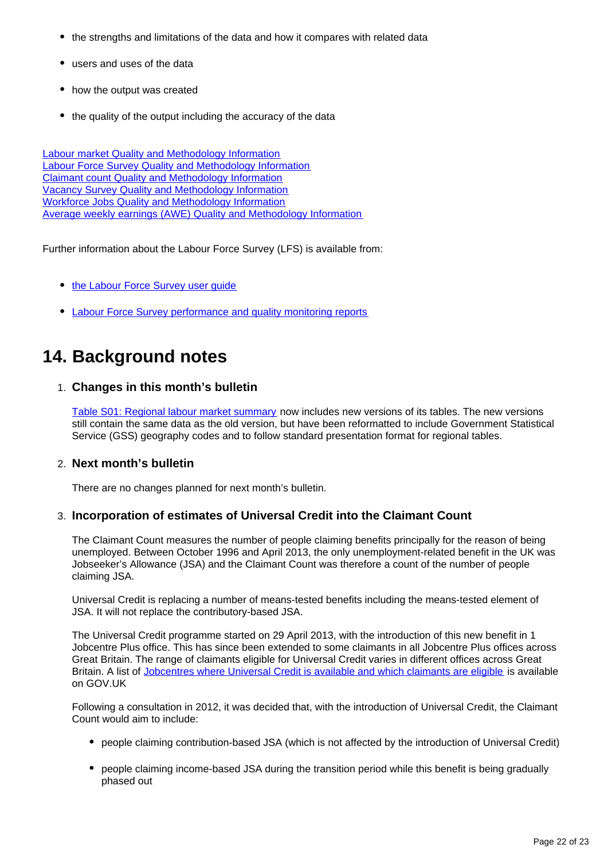- the strengths and limitations of the data and how it compares with related data
- users and uses of the data
- how the output was created
- the quality of the output including the accuracy of the data

[Labour market Quality and Methodology Information](https://www.ons.gov.uk/employmentandlabourmarket/peopleinwork/employmentandemployeetypes/qmis/labourmarketqmi) [Labour Force Survey Quality and Methodology Information](https://www.ons.gov.uk/employmentandlabourmarket/peopleinwork/employmentandemployeetypes/qmis/labourforcesurveylfsqmi) [Claimant count Quality and Methodology Information](https://www.ons.gov.uk/employmentandlabourmarket/peopleinwork/employmentandemployeetypes/qmis/claimantcountqmi) [Vacancy Survey Quality and Methodology Information](https://www.ons.gov.uk/employmentandlabourmarket/peopleinwork/employmentandemployeetypes/qmis/vacancysurveyqmi) [Workforce Jobs Quality and Methodology Information](https://www.ons.gov.uk/employmentandlabourmarket/peopleinwork/employmentandemployeetypes/qmis/workforcejobsqmi) [Average weekly earnings \(AWE\) Quality and Methodology Information](https://www.ons.gov.uk/employmentandlabourmarket/peopleinwork/earningsandworkinghours/qmis/averageweeklyearningsaweqmi)

Further information about the Labour Force Survey (LFS) is available from:

- the Labour Force Survey user quide
- [Labour Force Survey performance and quality monitoring reports](https://www.ons.gov.uk/employmentandlabourmarket/peopleinwork/employmentandemployeetypes/methodologies/labourforcesurveyqualitymeasures)

## **14. Background notes**

#### 1. **Changes in this month's bulletin**

[Table S01: Regional labour market summary](https://www.ons.gov.uk/employmentandlabourmarket/peopleinwork/employmentandemployeetypes/datasets/nationallabourmarketsummarybyregions01) now includes new versions of its tables. The new versions still contain the same data as the old version, but have been reformatted to include Government Statistical Service (GSS) geography codes and to follow standard presentation format for regional tables.

#### 2. **Next month's bulletin**

There are no changes planned for next month's bulletin.

#### 3. **Incorporation of estimates of Universal Credit into the Claimant Count**

The Claimant Count measures the number of people claiming benefits principally for the reason of being unemployed. Between October 1996 and April 2013, the only unemployment-related benefit in the UK was Jobseeker's Allowance (JSA) and the Claimant Count was therefore a count of the number of people claiming JSA.

Universal Credit is replacing a number of means-tested benefits including the means-tested element of JSA. It will not replace the contributory-based JSA.

The Universal Credit programme started on 29 April 2013, with the introduction of this new benefit in 1 Jobcentre Plus office. This has since been extended to some claimants in all Jobcentre Plus offices across Great Britain. The range of claimants eligible for Universal Credit varies in different offices across Great Britain. A list of [Jobcentres where Universal Credit is available and which claimants are eligible](https://www.gov.uk/guidance/jobcentres-where-you-can-claim-universal-credit) is available on GOV.UK

Following a consultation in 2012, it was decided that, with the introduction of Universal Credit, the Claimant Count would aim to include:

- people claiming contribution-based JSA (which is not affected by the introduction of Universal Credit)
- people claiming income-based JSA during the transition period while this benefit is being gradually phased out